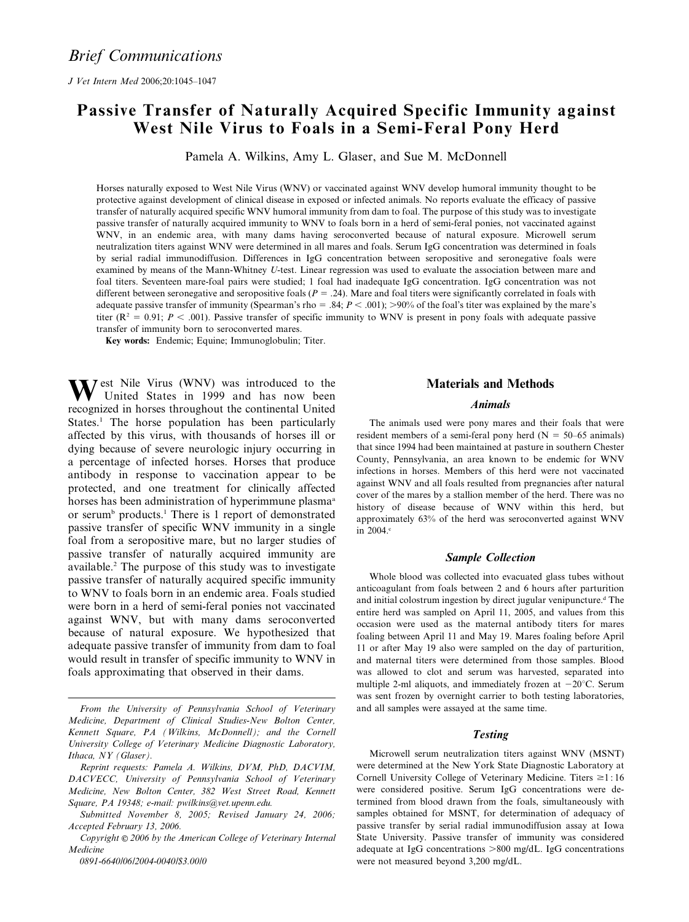J Vet Intern Med 2006;20:1045–1047

# Passive Transfer of Naturally Acquired Specific Immunity against West Nile Virus to Foals in a Semi-Feral Pony Herd

Pamela A. Wilkins, Amy L. Glaser, and Sue M. McDonnell

Horses naturally exposed to West Nile Virus (WNV) or vaccinated against WNV develop humoral immunity thought to be protective against development of clinical disease in exposed or infected animals. No reports evaluate the efficacy of passive transfer of naturally acquired specific WNV humoral immunity from dam to foal. The purpose of this study was to investigate passive transfer of naturally acquired immunity to WNV to foals born in a herd of semi-feral ponies, not vaccinated against WNV, in an endemic area, with many dams having seroconverted because of natural exposure. Microwell serum neutralization titers against WNV were determined in all mares and foals. Serum IgG concentration was determined in foals by serial radial immunodiffusion. Differences in IgG concentration between seropositive and seronegative foals were examined by means of the Mann-Whitney U-test. Linear regression was used to evaluate the association between mare and foal titers. Seventeen mare-foal pairs were studied; 1 foal had inadequate IgG concentration. IgG concentration was not different between seronegative and seropositive foals  $(P = .24)$ . Mare and foal titers were significantly correlated in foals with adequate passive transfer of immunity (Spearman's rho = .84;  $P < .001$ ); >90% of the foal's titer was explained by the mare's titer  $(R^2 = 0.91; P < .001)$ . Passive transfer of specific immunity to WNV is present in pony foals with adequate passive transfer of immunity born to seroconverted mares.

Key words: Endemic; Equine; Immunoglobulin; Titer.

West Nile Virus (WNV) was introduced to the United States in 1999 and has now been recognized in horses throughout the continental United States.<sup>1</sup> The horse population has been particularly affected by this virus, with thousands of horses ill or dying because of severe neurologic injury occurring in a percentage of infected horses. Horses that produce antibody in response to vaccination appear to be protected, and one treatment for clinically affected horses has been administration of hyperimmune plasma<sup>a</sup> or serum<sup>b</sup> products.<sup>1</sup> There is 1 report of demonstrated passive transfer of specific WNV immunity in a single foal from a seropositive mare, but no larger studies of passive transfer of naturally acquired immunity are available.2 The purpose of this study was to investigate passive transfer of naturally acquired specific immunity to WNV to foals born in an endemic area. Foals studied were born in a herd of semi-feral ponies not vaccinated against WNV, but with many dams seroconverted because of natural exposure. We hypothesized that adequate passive transfer of immunity from dam to foal would result in transfer of specific immunity to WNV in foals approximating that observed in their dams.

0891-6640/06/2004-0040/\$3.00/0

## Materials and Methods

#### Animals

The animals used were pony mares and their foals that were resident members of a semi-feral pony herd ( $N = 50-65$  animals) that since 1994 had been maintained at pasture in southern Chester County, Pennsylvania, an area known to be endemic for WNV infections in horses. Members of this herd were not vaccinated against WNV and all foals resulted from pregnancies after natural cover of the mares by a stallion member of the herd. There was no history of disease because of WNV within this herd, but approximately 63% of the herd was seroconverted against WNV in 2004.<sup>c</sup>

#### Sample Collection

Whole blood was collected into evacuated glass tubes without anticoagulant from foals between 2 and 6 hours after parturition and initial colostrum ingestion by direct jugular venipuncture.<sup>d</sup> The entire herd was sampled on April 11, 2005, and values from this occasion were used as the maternal antibody titers for mares foaling between April 11 and May 19. Mares foaling before April 11 or after May 19 also were sampled on the day of parturition, and maternal titers were determined from those samples. Blood was allowed to clot and serum was harvested, separated into multiple 2-ml aliquots, and immediately frozen at  $-20^{\circ}$ C. Serum was sent frozen by overnight carrier to both testing laboratories, and all samples were assayed at the same time.

#### **Testing**

Microwell serum neutralization titers against WNV (MSNT) were determined at the New York State Diagnostic Laboratory at Cornell University College of Veterinary Medicine. Titers  $\geq 1 : 16$ were considered positive. Serum IgG concentrations were determined from blood drawn from the foals, simultaneously with samples obtained for MSNT, for determination of adequacy of passive transfer by serial radial immunodiffusion assay at Iowa State University. Passive transfer of immunity was considered adequate at IgG concentrations  $>800$  mg/dL. IgG concentrations were not measured beyond 3,200 mg/dL.

From the University of Pennsylvania School of Veterinary Medicine, Department of Clinical Studies-New Bolton Center, Kennett Square, PA (Wilkins, McDonnell); and the Cornell University College of Veterinary Medicine Diagnostic Laboratory, Ithaca, NY (Glaser).

Reprint requests: Pamela A. Wilkins, DVM, PhD, DACVIM, DACVECC, University of Pennsylvania School of Veterinary Medicine, New Bolton Center, 382 West Street Road, Kennett Square, PA 19348; e-mail: pwilkins@vet.upenn.edu.

Submitted November 8, 2005; Revised January 24, 2006; Accepted February 13, 2006.

Copyright  $\odot$  2006 by the American College of Veterinary Internal Medicine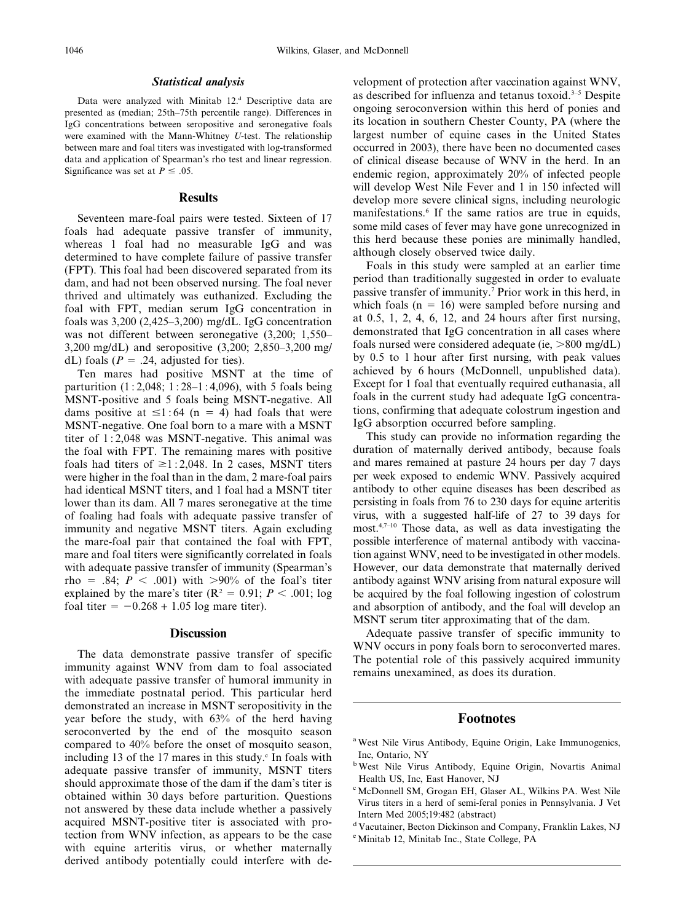#### Statistical analysis

Data were analyzed with Minitab 12.<sup>d</sup> Descriptive data are presented as (median; 25th–75th percentile range). Differences in IgG concentrations between seropositive and seronegative foals were examined with the Mann-Whitney U-test. The relationship between mare and foal titers was investigated with log-transformed data and application of Spearman's rho test and linear regression. Significance was set at  $P \leq .05$ .

#### Results

Seventeen mare-foal pairs were tested. Sixteen of 17 foals had adequate passive transfer of immunity, whereas 1 foal had no measurable IgG and was determined to have complete failure of passive transfer (FPT). This foal had been discovered separated from its dam, and had not been observed nursing. The foal never thrived and ultimately was euthanized. Excluding the foal with FPT, median serum IgG concentration in foals was  $3,200$  (2,425–3,200) mg/dL. IgG concentration was not different between seronegative (3,200; 1,550– 3,200 mg/dL) and seropositive (3,200; 2,850–3,200 mg/ dL) foals ( $P = .24$ , adjusted for ties).

Ten mares had positive MSNT at the time of parturition  $(1:2.048; 1:28-1:4.096)$ , with 5 foals being MSNT-positive and 5 foals being MSNT-negative. All dams positive at  $\leq$ 1:64 (n = 4) had foals that were MSNT-negative. One foal born to a mare with a MSNT titer of 1 : 2,048 was MSNT-negative. This animal was the foal with FPT. The remaining mares with positive foals had titers of  $\geq$ 1:2,048. In 2 cases, MSNT titers were higher in the foal than in the dam, 2 mare-foal pairs had identical MSNT titers, and 1 foal had a MSNT titer lower than its dam. All 7 mares seronegative at the time of foaling had foals with adequate passive transfer of immunity and negative MSNT titers. Again excluding the mare-foal pair that contained the foal with FPT, mare and foal titers were significantly correlated in foals with adequate passive transfer of immunity (Spearman's rho = .84;  $P < .001$ ) with  $>90\%$  of the foal's titer explained by the mare's titer ( $\mathbb{R}^2 = 0.91$ ;  $P < .001$ ; log foal titer =  $-0.268 + 1.05$  log mare titer).

#### **Discussion**

The data demonstrate passive transfer of specific immunity against WNV from dam to foal associated with adequate passive transfer of humoral immunity in the immediate postnatal period. This particular herd demonstrated an increase in MSNT seropositivity in the year before the study, with 63% of the herd having seroconverted by the end of the mosquito season compared to 40% before the onset of mosquito season, including 13 of the 17 mares in this study. $\epsilon$  In foals with adequate passive transfer of immunity, MSNT titers should approximate those of the dam if the dam's titer is obtained within 30 days before parturition. Questions not answered by these data include whether a passively acquired MSNT-positive titer is associated with protection from WNV infection, as appears to be the case with equine arteritis virus, or whether maternally derived antibody potentially could interfere with development of protection after vaccination against WNV, as described for influenza and tetanus toxoid.<sup>3–5</sup> Despite ongoing seroconversion within this herd of ponies and its location in southern Chester County, PA (where the largest number of equine cases in the United States occurred in 2003), there have been no documented cases of clinical disease because of WNV in the herd. In an endemic region, approximately 20% of infected people will develop West Nile Fever and 1 in 150 infected will develop more severe clinical signs, including neurologic manifestations.<sup>6</sup> If the same ratios are true in equids, some mild cases of fever may have gone unrecognized in this herd because these ponies are minimally handled, although closely observed twice daily.

Foals in this study were sampled at an earlier time period than traditionally suggested in order to evaluate passive transfer of immunity.7 Prior work in this herd, in which foals  $(n = 16)$  were sampled before nursing and at 0.5, 1, 2, 4, 6, 12, and 24 hours after first nursing, demonstrated that IgG concentration in all cases where foals nursed were considered adequate (ie,  $>800 \text{ mg/dL}$ ) by 0.5 to 1 hour after first nursing, with peak values achieved by 6 hours (McDonnell, unpublished data). Except for 1 foal that eventually required euthanasia, all foals in the current study had adequate IgG concentrations, confirming that adequate colostrum ingestion and IgG absorption occurred before sampling.

This study can provide no information regarding the duration of maternally derived antibody, because foals and mares remained at pasture 24 hours per day 7 days per week exposed to endemic WNV. Passively acquired antibody to other equine diseases has been described as persisting in foals from 76 to 230 days for equine arteritis virus, with a suggested half-life of 27 to 39 days for most.4,7–10 Those data, as well as data investigating the possible interference of maternal antibody with vaccination against WNV, need to be investigated in other models. However, our data demonstrate that maternally derived antibody against WNV arising from natural exposure will be acquired by the foal following ingestion of colostrum and absorption of antibody, and the foal will develop an MSNT serum titer approximating that of the dam.

Adequate passive transfer of specific immunity to WNV occurs in pony foals born to seroconverted mares. The potential role of this passively acquired immunity remains unexamined, as does its duration.

#### Footnotes

- <sup>a</sup> West Nile Virus Antibody, Equine Origin, Lake Immunogenics, Inc, Ontario, NY
- bWest Nile Virus Antibody, Equine Origin, Novartis Animal Health US, Inc, East Hanover, NJ
- c McDonnell SM, Grogan EH, Glaser AL, Wilkins PA. West Nile Virus titers in a herd of semi-feral ponies in Pennsylvania. J Vet Intern Med 2005;19:482 (abstract)
- <sup>d</sup> Vacutainer, Becton Dickinson and Company, Franklin Lakes, NJ
- e Minitab 12, Minitab Inc., State College, PA